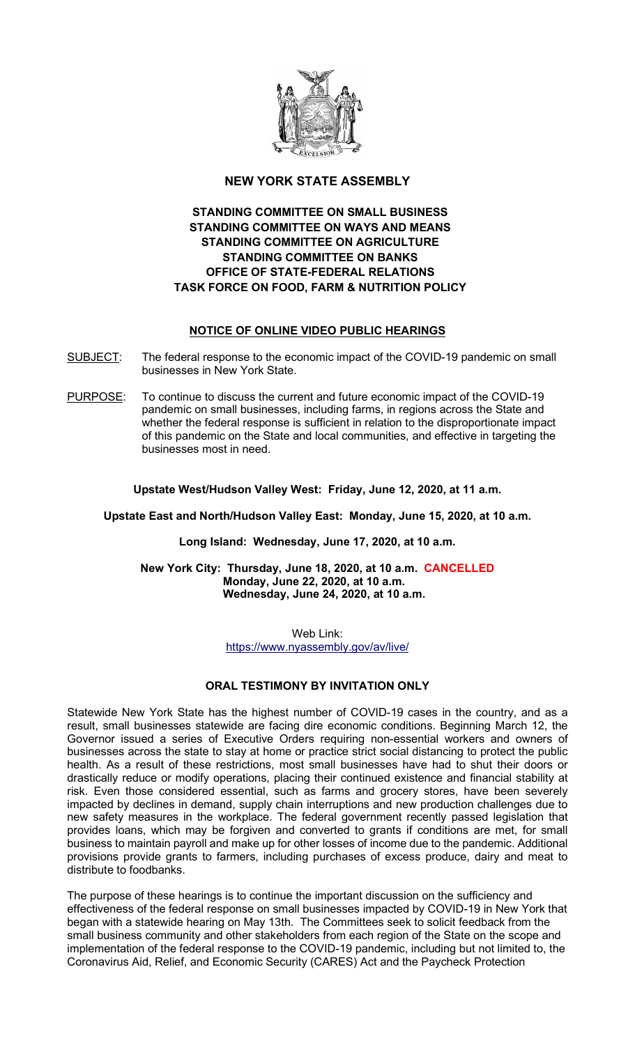

## NEW YORK STATE ASSEMBLY

## STANDING COMMITTEE ON SMALL BUSINESS STANDING COMMITTEE ON WAYS AND MEANS STANDING COMMITTEE ON AGRICULTURE STANDING COMMITTEE ON BANKS OFFICE OF STATE-FEDERAL RELATIONS TASK FORCE ON FOOD, FARM & NUTRITION POLICY

## NOTICE OF ONLINE VIDEO PUBLIC HEARINGS

- SUBJECT: The federal response to the economic impact of the COVID-19 pandemic on small businesses in New York State.
- PURPOSE: To continue to discuss the current and future economic impact of the COVID-19 pandemic on small businesses, including farms, in regions across the State and whether the federal response is sufficient in relation to the disproportionate impact of this pandemic on the State and local communities, and effective in targeting the businesses most in need.

### Upstate West/Hudson Valley West: Friday, June 12, 2020, at 11 a.m.

Upstate East and North/Hudson Valley East: Monday, June 15, 2020, at 10 a.m.

### Long Island: Wednesday, June 17, 2020, at 10 a.m.

New York City: Thursday, June 18, 2020, at 10 a.m. CANCELLED Monday, June 22, 2020, at 10 a.m. Wednesday, June 24, 2020, at 10 a.m.

> Web Link: https://www.nyassembly.gov/av/live/

### ORAL TESTIMONY BY INVITATION ONLY

Statewide New York State has the highest number of COVID-19 cases in the country, and as a result, small businesses statewide are facing dire economic conditions. Beginning March 12, the Governor issued a series of Executive Orders requiring non-essential workers and owners of businesses across the state to stay at home or practice strict social distancing to protect the public health. As a result of these restrictions, most small businesses have had to shut their doors or drastically reduce or modify operations, placing their continued existence and financial stability at risk. Even those considered essential, such as farms and grocery stores, have been severely impacted by declines in demand, supply chain interruptions and new production challenges due to new safety measures in the workplace. The federal government recently passed legislation that provides loans, which may be forgiven and converted to grants if conditions are met, for small business to maintain payroll and make up for other losses of income due to the pandemic. Additional provisions provide grants to farmers, including purchases of excess produce, dairy and meat to distribute to foodbanks.

The purpose of these hearings is to continue the important discussion on the sufficiency and effectiveness of the federal response on small businesses impacted by COVID-19 in New York that began with a statewide hearing on May 13th. The Committees seek to solicit feedback from the small business community and other stakeholders from each region of the State on the scope and implementation of the federal response to the COVID-19 pandemic, including but not limited to, the Coronavirus Aid, Relief, and Economic Security (CARES) Act and the Paycheck Protection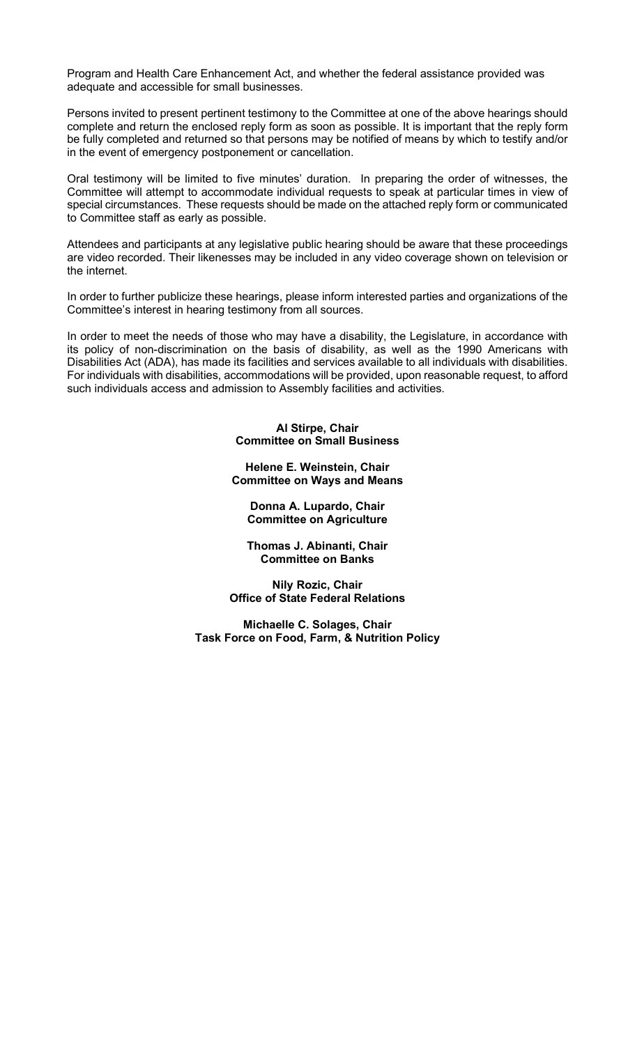Program and Health Care Enhancement Act, and whether the federal assistance provided was adequate and accessible for small businesses.

Persons invited to present pertinent testimony to the Committee at one of the above hearings should complete and return the enclosed reply form as soon as possible. It is important that the reply form be fully completed and returned so that persons may be notified of means by which to testify and/or in the event of emergency postponement or cancellation.

Oral testimony will be limited to five minutes' duration. In preparing the order of witnesses, the Committee will attempt to accommodate individual requests to speak at particular times in view of special circumstances. These requests should be made on the attached reply form or communicated to Committee staff as early as possible.

Attendees and participants at any legislative public hearing should be aware that these proceedings are video recorded. Their likenesses may be included in any video coverage shown on television or the internet.

In order to further publicize these hearings, please inform interested parties and organizations of the Committee's interest in hearing testimony from all sources.

In order to meet the needs of those who may have a disability, the Legislature, in accordance with its policy of non-discrimination on the basis of disability, as well as the 1990 Americans with Disabilities Act (ADA), has made its facilities and services available to all individuals with disabilities. For individuals with disabilities, accommodations will be provided, upon reasonable request, to afford such individuals access and admission to Assembly facilities and activities.

#### Al Stirpe, Chair Committee on Small Business

Helene E. Weinstein, Chair Committee on Ways and Means

Donna A. Lupardo, Chair Committee on Agriculture

Thomas J. Abinanti, Chair Committee on Banks

Nily Rozic, Chair Office of State Federal Relations

Michaelle C. Solages, Chair Task Force on Food, Farm, & Nutrition Policy